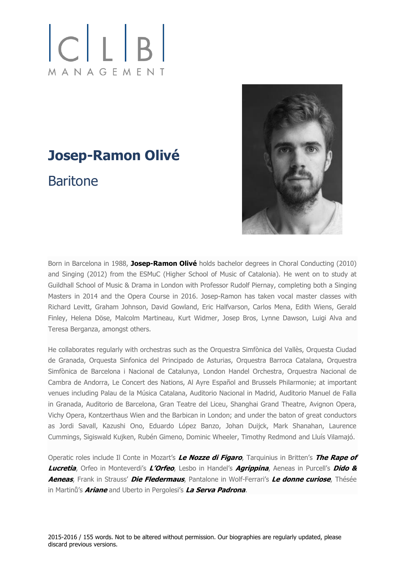## $|C|L|B|$ MANAGEMENT

## **Josep-Ramon Olivé Baritone**



Born in Barcelona in 1988, **Josep-Ramon Olivé** holds bachelor degrees in Choral Conducting (2010) and Singing (2012) from the ESMuC (Higher School of Music of Catalonia). He went on to study at Guildhall School of Music & Drama in London with Professor Rudolf Piernay, completing both a Singing Masters in 2014 and the Opera Course in 2016. Josep-Ramon has taken vocal master classes with Richard Levitt, Graham Johnson, David Gowland, Eric Halfvarson, Carlos Mena, Edith Wiens, Gerald Finley, Helena Döse, Malcolm Martineau, Kurt Widmer, Josep Bros, Lynne Dawson, Luigi Alva and Teresa Berganza, amongst others.

He collaborates regularly with orchestras such as the Orquestra Simfònica del Vallès, Orquesta Ciudad de Granada, Orquesta Sinfonica del Principado de Asturias, Orquestra Barroca Catalana, Orquestra Simfònica de Barcelona i Nacional de Catalunya, London Handel Orchestra, Orquestra Nacional de Cambra de Andorra, Le Concert des Nations, Al Ayre Español and Brussels Philarmonie; at important venues including Palau de la Música Catalana, Auditorio Nacional in Madrid, Auditorio Manuel de Falla in Granada, Auditorio de Barcelona, Gran Teatre del Liceu, Shanghai Grand Theatre, Avignon Opera, Vichy Opera, Kontzerthaus Wien and the Barbican in London; and under the baton of great conductors as Jordi Savall, Kazushi Ono, Eduardo López Banzo, Johan Duijck, Mark Shanahan, Laurence Cummings, Sigiswald Kujken, Rubén Gimeno, Dominic Wheeler, Timothy Redmond and Lluís Vilamajó.

Operatic roles include Il Conte in Mozart's **Le Nozze di Figaro**, Tarquinius in Britten's **The Rape of Lucretia**, Orfeo in Monteverdi's **L'Orfeo**, Lesbo in Handel's **Agrippina**, Aeneas in Purcell's **Dido & Aeneas**, Frank in Strauss' **Die Fledermaus**, Pantalone in Wolf-Ferrari's **Le donne curiose**, Thésée in Martinů's **Ariane** and Uberto in Pergolesi's **La Serva Padrona**.